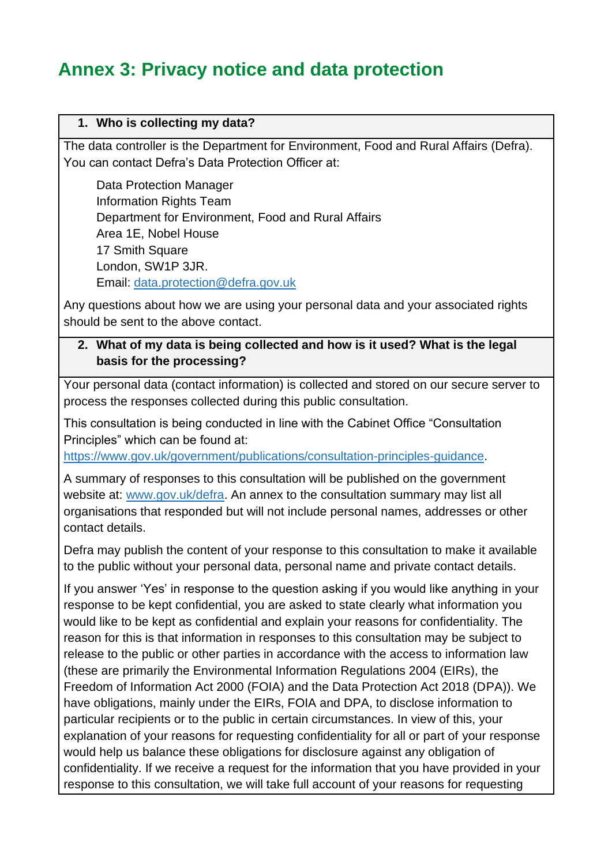# **Annex 3: Privacy notice and data protection**

#### **1. Who is collecting my data?**

The data controller is the Department for Environment, Food and Rural Affairs (Defra). You can contact Defra's Data Protection Officer at:

Data Protection Manager Information Rights Team Department for Environment, Food and Rural Affairs Area 1E, Nobel House 17 Smith Square London, SW1P 3JR. Email: [data.protection@defra.gov.uk](mailto:data.protection@defra.gov.uk)

Any questions about how we are using your personal data and your associated rights should be sent to the above contact.

#### **2. What of my data is being collected and how is it used? What is the legal basis for the processing?**

Your personal data (contact information) is collected and stored on our secure server to process the responses collected during this public consultation.

This consultation is being conducted in line with the Cabinet Office "Consultation Principles" which can be found at:

[https://www.gov.uk/government/publications/consultation-principles-guidance.](https://www.gov.uk/government/publications/consultation-principles-guidance)

A summary of responses to this consultation will be published on the government website at: [www.gov.uk/defra.](http://www.gov.uk/defra) An annex to the consultation summary may list all organisations that responded but will not include personal names, addresses or other contact details.

Defra may publish the content of your response to this consultation to make it available to the public without your personal data, personal name and private contact details.

If you answer 'Yes' in response to the question asking if you would like anything in your response to be kept confidential, you are asked to state clearly what information you would like to be kept as confidential and explain your reasons for confidentiality. The reason for this is that information in responses to this consultation may be subject to release to the public or other parties in accordance with the access to information law (these are primarily the Environmental Information Regulations 2004 (EIRs), the Freedom of Information Act 2000 (FOIA) and the Data Protection Act 2018 (DPA)). We have obligations, mainly under the EIRs, FOIA and DPA, to disclose information to particular recipients or to the public in certain circumstances. In view of this, your explanation of your reasons for requesting confidentiality for all or part of your response would help us balance these obligations for disclosure against any obligation of confidentiality. If we receive a request for the information that you have provided in your response to this consultation, we will take full account of your reasons for requesting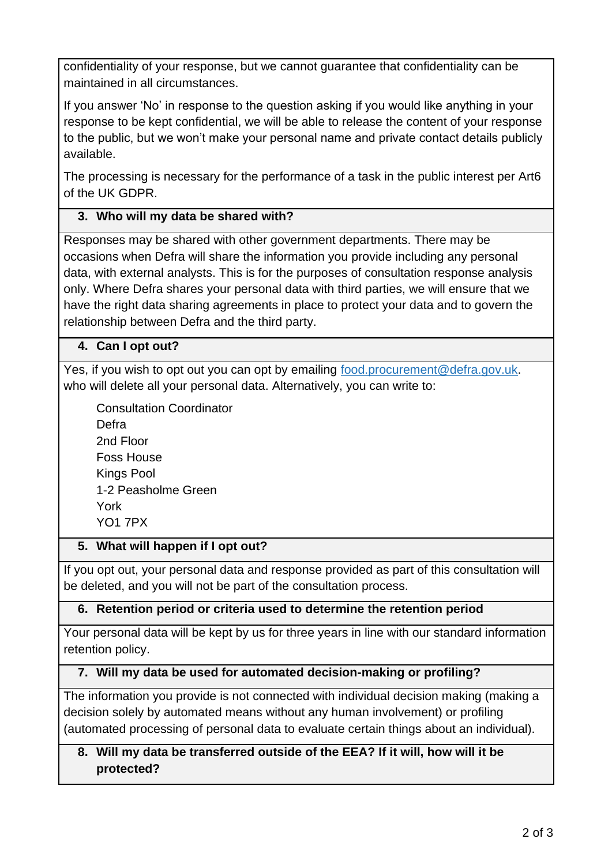confidentiality of your response, but we cannot guarantee that confidentiality can be maintained in all circumstances.

If you answer 'No' in response to the question asking if you would like anything in your response to be kept confidential, we will be able to release the content of your response to the public, but we won't make your personal name and private contact details publicly available.

The processing is necessary for the performance of a task in the public interest per Art6 of the UK GDPR.

# **3. Who will my data be shared with?**

Responses may be shared with other government departments. There may be occasions when Defra will share the information you provide including any personal data, with external analysts. This is for the purposes of consultation response analysis only. Where Defra shares your personal data with third parties, we will ensure that we have the right data sharing agreements in place to protect your data and to govern the relationship between Defra and the third party.

## **4. Can I opt out?**

Yes, if you wish to opt out you can opt by emailing [food.procurement@defra.gov.uk.](mailto:food.procurement@defra.gov.uk) who will delete all your personal data. Alternatively, you can write to:

Consultation Coordinator Defra 2nd Floor Foss House Kings Pool 1-2 Peasholme Green York YO1 7PX

## **5. What will happen if I opt out?**

If you opt out, your personal data and response provided as part of this consultation will be deleted, and you will not be part of the consultation process.

## **6. Retention period or criteria used to determine the retention period**

Your personal data will be kept by us for three years in line with our standard information retention policy.

## **7. Will my data be used for automated decision-making or profiling?**

The information you provide is not connected with individual decision making (making a decision solely by automated means without any human involvement) or profiling (automated processing of personal data to evaluate certain things about an individual).

# **8. Will my data be transferred outside of the EEA? If it will, how will it be protected?**